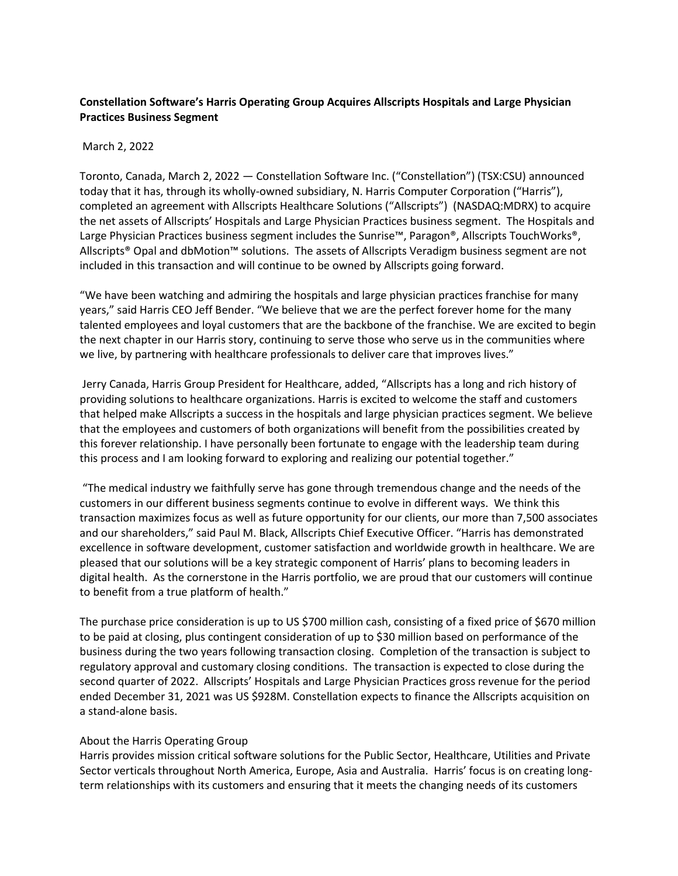## **Constellation Software's Harris Operating Group Acquires Allscripts Hospitals and Large Physician Practices Business Segment**

## March 2, 2022

Toronto, Canada, March 2, 2022 — Constellation Software Inc. ("Constellation") (TSX:CSU) announced today that it has, through its wholly-owned subsidiary, N. Harris Computer Corporation ("Harris"), completed an agreement with Allscripts Healthcare Solutions ("Allscripts") (NASDAQ:MDRX) to acquire the net assets of Allscripts' Hospitals and Large Physician Practices business segment.  The Hospitals and Large Physician Practices business segment includes the Sunrise™, Paragon®, Allscripts TouchWorks®, Allscripts® Opal and dbMotion™ solutions.  The assets of Allscripts Veradigm business segment are not included in this transaction and will continue to be owned by Allscripts going forward. 

"We have been watching and admiring the hospitals and large physician practices franchise for many years," said Harris CEO Jeff Bender. "We believe that we are the perfect forever home for the many talented employees and loyal customers that are the backbone of the franchise. We are excited to begin the next chapter in our Harris story, continuing to serve those who serve us in the communities where we live, by partnering with healthcare professionals to deliver care that improves lives."   

 Jerry Canada, Harris Group President for Healthcare, added, "Allscripts has a long and rich history of providing solutions to healthcare organizations. Harris is excited to welcome the staff and customers that helped make Allscripts a success in the hospitals and large physician practices segment. We believe that the employees and customers of both organizations will benefit from the possibilities created by this forever relationship. I have personally been fortunate to engage with the leadership team during this process and I am looking forward to exploring and realizing our potential together."   

 "The medical industry we faithfully serve has gone through tremendous change and the needs of the customers in our different business segments continue to evolve in different ways.  We think this transaction maximizes focus as well as future opportunity for our clients, our more than 7,500 associates and our shareholders," said Paul M. Black, Allscripts Chief Executive Officer. "Harris has demonstrated excellence in software development, customer satisfaction and worldwide growth in healthcare. We are pleased that our solutions will be a key strategic component of Harris' plans to becoming leaders in digital health.  As the cornerstone in the Harris portfolio, we are proud that our customers will continue to benefit from a true platform of health."  

The purchase price consideration is up to US \$700 million cash, consisting of a fixed price of \$670 million to be paid at closing, plus contingent consideration of up to \$30 million based on performance of the business during the two years following transaction closing.  Completion of the transaction is subject to regulatory approval and customary closing conditions. The transaction is expected to close during the second quarter of 2022.  Allscripts' Hospitals and Large Physician Practices gross revenue for the period ended December 31, 2021 was US \$928M. Constellation expects to finance the Allscripts acquisition on a stand-alone basis.   

## About the Harris Operating Group

Harris provides mission critical software solutions for the Public Sector, Healthcare, Utilities and Private Sector verticals throughout North America, Europe, Asia and Australia.  Harris' focus is on creating longterm relationships with its customers and ensuring that it meets the changing needs of its customers